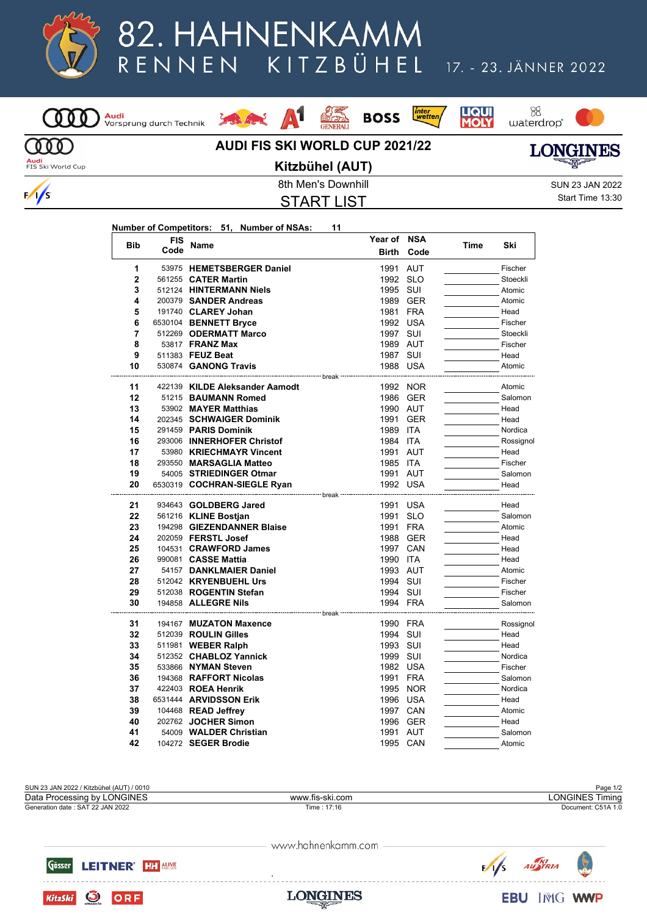

## 82. HAHNENKAMM KITZBÜHEL RENNEN

## 17. - 23. JÄNNER 2022



## $\Lambda1$ Louis Library





**LIQUI**<br>MOLY



**Audi**<br>FIS Ski World Cup

 $\frac{1}{s}$ 

## **AUDI FIS SKI WORLD CUP 2021/22 Kitzbühel (AUT)**

**LONGINES** 

START LIST

8th Men's Downhill SUN 23 JAN 2022 Start Time 13:30

| Number of Competitors: 51, Number of NSAs: |  |  |
|--------------------------------------------|--|--|
|                                            |  |  |

<mark>Audi</mark><br>Vorsprung durch Technik

| <b>Bib</b>     | <b>FIS</b> | Name                                                 | Year of NSA          |            |      |           |
|----------------|------------|------------------------------------------------------|----------------------|------------|------|-----------|
|                | Code       |                                                      | <b>Birth</b>         | Code       | Time | Ski       |
| 1              |            | 53975 HEMETSBERGER Daniel                            | 1991 AUT             |            |      | Fischer   |
| $\overline{2}$ |            | 561255 CATER Martin                                  | 1992 SLO             |            |      | Stoeckli  |
| 3              |            | 512124 HINTERMANN Niels                              | 1995 SUI             |            |      | Atomic    |
| 4              |            | 200379 SANDER Andreas                                |                      | 1989 GER   |      | Atomic    |
| 5              |            | 191740 CLAREY Johan                                  | 1981                 | <b>FRA</b> |      | Head      |
| 6              |            | 6530104 BENNETT Bryce                                | 1992 USA             |            |      | Fischer   |
| $\overline{7}$ |            | 512269 ODERMATT Marco                                | 1997 SUI             |            |      | Stoeckli  |
| 8              |            | 53817 <b>FRANZ Max</b>                               | 1989 AUT             |            |      | Fischer   |
| 9              |            | 511383 FEUZ Beat                                     | 1987 SUI             |            |      | Head      |
| 10             |            | 530874 GANONG Travis                                 | 1988 USA             |            |      | Atomic    |
| 11             |            | 422139 KILDE Aleksander Aamodt                       |                      | 1992 NOR   |      | Atomic    |
| 12             |            | 51215 BAUMANN Romed                                  |                      |            |      | Salomon   |
| 13             |            |                                                      |                      | 1986 GER   |      |           |
|                |            | 53902 MAYER Matthias                                 | 1990 AUT             |            |      | Head      |
| 14             |            | 202345 SCHWAIGER Dominik                             | 1991                 | <b>GER</b> |      | Head      |
| 15             |            | 291459 PARIS Dominik                                 | 1989 ITA             |            |      | Nordica   |
| 16<br>17       |            | 293006 INNERHOFER Christof                           | 1984 ITA<br>1991 AUT |            |      | Rossignol |
|                |            | 53980 KRIECHMAYR Vincent                             |                      |            |      | Head      |
| 18             |            | 293550 MARSAGLIA Matteo                              | 1985 ITA             |            |      | Fischer   |
| 19             |            | 54005 STRIEDINGER Otmar                              | 1991 AUT             |            |      | Salomon   |
| 20             |            | 6530319 COCHRAN-SIEGLE Ryan<br>--------------- break | 1992 USA             |            |      | Head      |
| 21             |            | 934643 GOLDBERG Jared                                | 1991                 | <b>USA</b> |      | Head      |
| 22             |            | 561216 KLINE Bostian                                 | 1991                 | <b>SLO</b> |      | Salomon   |
| 23             |            | 194298 GIEZENDANNER Blaise                           | 1991 FRA             |            |      | Atomic    |
| 24             |            | 202059 <b>FERSTL Josef</b>                           |                      | 1988 GER   |      | Head      |
| 25             |            | 104531 CRAWFORD James                                | 1997 CAN             |            |      | Head      |
| 26             |            | 990081 CASSE Mattia                                  | 1990 ITA             |            |      | Head      |
| 27             |            | 54157 DANKLMAIER Daniel                              | 1993 AUT             |            |      | Atomic    |
| 28             |            | 512042 KRYENBUEHL Urs                                | 1994 SUI             |            |      | Fischer   |
| 29             |            | 512038 ROGENTIN Stefan                               | 1994 SUI             |            |      | Fischer   |
| 30             |            | 194858 <b>ALLEGRE Nils</b>                           | 1994 FRA             |            |      | Salomon   |
|                |            |                                                      | --- break            |            |      |           |
| 31             |            | 194167 MUZATON Maxence                               | 1990 FRA             |            |      | Rossignol |
| 32             |            | 512039 ROULIN Gilles                                 | 1994 SUI             |            |      | Head      |
| 33             |            | 511981 WEBER Ralph                                   | 1993 SUI             |            |      | Head      |
| 34             |            | 512352 CHABLOZ Yannick                               | 1999 SUI             |            |      | Nordica   |
| 35             |            | 533866 NYMAN Steven                                  | 1982 USA             |            |      | Fischer   |
| 36             |            | 194368 RAFFORT Nicolas                               | 1991                 | <b>FRA</b> |      | Salomon   |
| 37             |            | 422403 ROEA Henrik                                   | 1995                 | <b>NOR</b> |      | Nordica   |
| 38             |            | 6531444 ARVIDSSON Erik                               |                      | 1996 USA   |      | Head      |
| 39             |            | 104468 READ Jeffrey                                  | 1997 CAN             |            |      | Atomic    |
| 40             |            | 202762 JOCHER Simon                                  | 1996                 | GER        |      | Head      |
| 41             |            | 54009 WALDER Christian                               | 1991 AUT             |            |      | Salomon   |
| 42             |            | 104272 SEGER Brodie                                  | 1995 CAN             |            |      | Atomic    |



www.hahnenkamm.com

**LONGINES** 

Gösser **LEITNER' HAT ALMS** 

**O** ORF

**KitzSki**